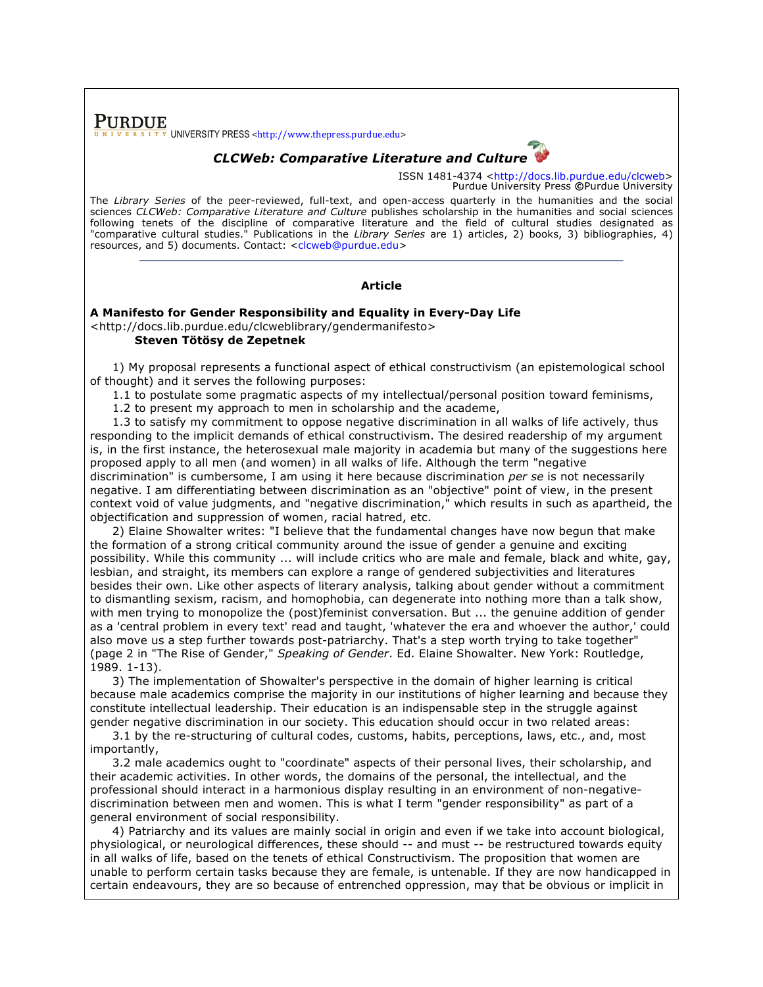**PURDUE** UNIVERSITY PRESS <http://www.thepress.purdue.edu>

## *CLCWeb: Comparative Literature and Culture*

ISSN 1481-4374 <http://docs.lib.purdue.edu/clcweb> Purdue University Press **©**Purdue University

The *Library Series* of the peer-reviewed, full-text, and open-access quarterly in the humanities and the social sciences *CLCWeb: Comparative Literature and Culture* publishes scholarship in the humanities and social sciences following tenets of the discipline of comparative literature and the field of cultural studies designated as "comparative cultural studies." Publications in the *Library Series* are 1) articles, 2) books, 3) bibliographies, 4) resources, and 5) documents. Contact: <clcweb@purdue.edu>

## **Article**

## **A Manifesto for Gender Responsibility and Equality in Every-Day Life** <http://docs.lib.purdue.edu/clcweblibrary/gendermanifesto> **Steven Tötösy de Zepetnek**

1) My proposal represents a functional aspect of ethical constructivism (an epistemological school of thought) and it serves the following purposes:

1.1 to postulate some pragmatic aspects of my intellectual/personal position toward feminisms,

1.2 to present my approach to men in scholarship and the academe,

1.3 to satisfy my commitment to oppose negative discrimination in all walks of life actively, thus responding to the implicit demands of ethical constructivism. The desired readership of my argument is, in the first instance, the heterosexual male majority in academia but many of the suggestions here proposed apply to all men (and women) in all walks of life. Although the term "negative discrimination" is cumbersome, I am using it here because discrimination *per se* is not necessarily negative. I am differentiating between discrimination as an "objective" point of view, in the present context void of value judgments, and "negative discrimination," which results in such as apartheid, the objectification and suppression of women, racial hatred, etc.

2) Elaine Showalter writes: "I believe that the fundamental changes have now begun that make the formation of a strong critical community around the issue of gender a genuine and exciting possibility. While this community ... will include critics who are male and female, black and white, gay, lesbian, and straight, its members can explore a range of gendered subjectivities and literatures besides their own. Like other aspects of literary analysis, talking about gender without a commitment to dismantling sexism, racism, and homophobia, can degenerate into nothing more than a talk show, with men trying to monopolize the (post)feminist conversation. But ... the genuine addition of gender as a 'central problem in every text' read and taught, 'whatever the era and whoever the author,' could also move us a step further towards post-patriarchy. That's a step worth trying to take together" (page 2 in "The Rise of Gender," *Speaking of Gender*. Ed. Elaine Showalter. New York: Routledge, 1989. 1-13).

3) The implementation of Showalter's perspective in the domain of higher learning is critical because male academics comprise the majority in our institutions of higher learning and because they constitute intellectual leadership. Their education is an indispensable step in the struggle against gender negative discrimination in our society. This education should occur in two related areas:

3.1 by the re-structuring of cultural codes, customs, habits, perceptions, laws, etc., and, most importantly,

3.2 male academics ought to "coordinate" aspects of their personal lives, their scholarship, and their academic activities. In other words, the domains of the personal, the intellectual, and the professional should interact in a harmonious display resulting in an environment of non-negativediscrimination between men and women. This is what I term "gender responsibility" as part of a general environment of social responsibility.

4) Patriarchy and its values are mainly social in origin and even if we take into account biological, physiological, or neurological differences, these should -- and must -- be restructured towards equity in all walks of life, based on the tenets of ethical Constructivism. The proposition that women are unable to perform certain tasks because they are female, is untenable. If they are now handicapped in certain endeavours, they are so because of entrenched oppression, may that be obvious or implicit in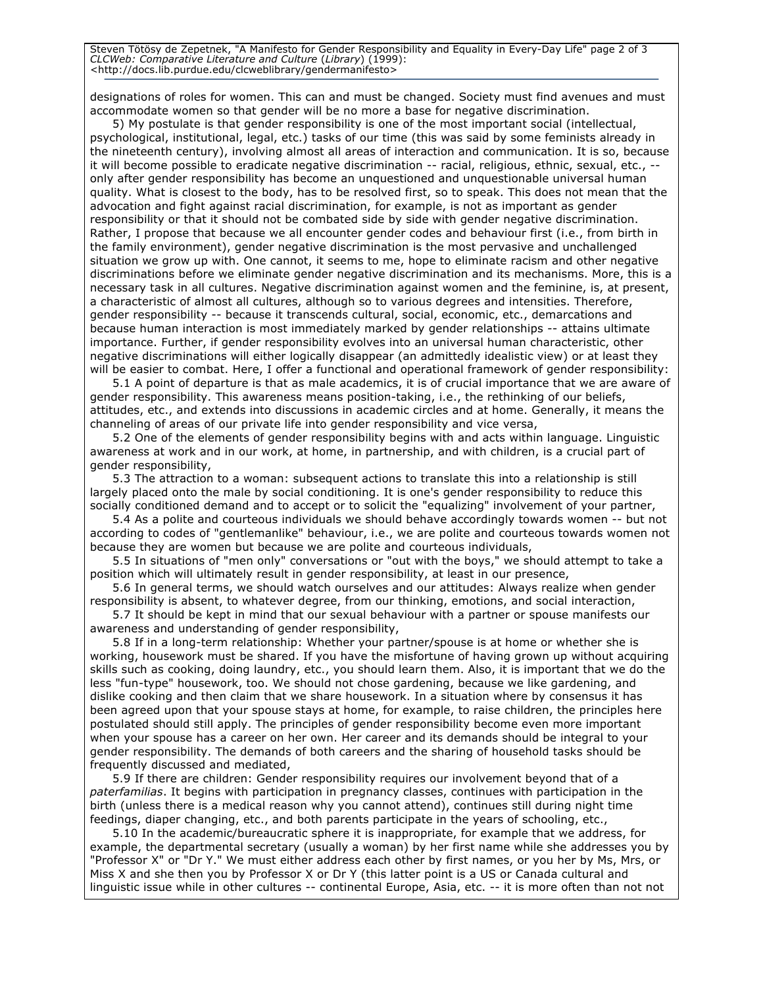Steven Tötösy de Zepetnek, "A Manifesto for Gender Responsibility and Equality in Every-Day Life" page 2 of 3 *CLCWeb: Comparative Literature and Culture* (*Library*) (1999): <http://docs.lib.purdue.edu/clcweblibrary/gendermanifesto>

designations of roles for women. This can and must be changed. Society must find avenues and must accommodate women so that gender will be no more a base for negative discrimination.

5) My postulate is that gender responsibility is one of the most important social (intellectual, psychological, institutional, legal, etc.) tasks of our time (this was said by some feminists already in the nineteenth century), involving almost all areas of interaction and communication. It is so, because it will become possible to eradicate negative discrimination -- racial, religious, ethnic, sexual, etc., - only after gender responsibility has become an unquestioned and unquestionable universal human quality. What is closest to the body, has to be resolved first, so to speak. This does not mean that the advocation and fight against racial discrimination, for example, is not as important as gender responsibility or that it should not be combated side by side with gender negative discrimination. Rather, I propose that because we all encounter gender codes and behaviour first (i.e., from birth in the family environment), gender negative discrimination is the most pervasive and unchallenged situation we grow up with. One cannot, it seems to me, hope to eliminate racism and other negative discriminations before we eliminate gender negative discrimination and its mechanisms. More, this is a necessary task in all cultures. Negative discrimination against women and the feminine, is, at present, a characteristic of almost all cultures, although so to various degrees and intensities. Therefore, gender responsibility -- because it transcends cultural, social, economic, etc., demarcations and because human interaction is most immediately marked by gender relationships -- attains ultimate importance. Further, if gender responsibility evolves into an universal human characteristic, other negative discriminations will either logically disappear (an admittedly idealistic view) or at least they will be easier to combat. Here, I offer a functional and operational framework of gender responsibility:

5.1 A point of departure is that as male academics, it is of crucial importance that we are aware of gender responsibility. This awareness means position-taking, i.e., the rethinking of our beliefs, attitudes, etc., and extends into discussions in academic circles and at home. Generally, it means the channeling of areas of our private life into gender responsibility and vice versa,

5.2 One of the elements of gender responsibility begins with and acts within language. Linguistic awareness at work and in our work, at home, in partnership, and with children, is a crucial part of gender responsibility,

5.3 The attraction to a woman: subsequent actions to translate this into a relationship is still largely placed onto the male by social conditioning. It is one's gender responsibility to reduce this socially conditioned demand and to accept or to solicit the "equalizing" involvement of your partner,

5.4 As a polite and courteous individuals we should behave accordingly towards women -- but not according to codes of "gentlemanlike" behaviour, i.e., we are polite and courteous towards women not because they are women but because we are polite and courteous individuals,

5.5 In situations of "men only" conversations or "out with the boys," we should attempt to take a position which will ultimately result in gender responsibility, at least in our presence,

5.6 In general terms, we should watch ourselves and our attitudes: Always realize when gender responsibility is absent, to whatever degree, from our thinking, emotions, and social interaction,

5.7 It should be kept in mind that our sexual behaviour with a partner or spouse manifests our awareness and understanding of gender responsibility,

5.8 If in a long-term relationship: Whether your partner/spouse is at home or whether she is working, housework must be shared. If you have the misfortune of having grown up without acquiring skills such as cooking, doing laundry, etc., you should learn them. Also, it is important that we do the less "fun-type" housework, too. We should not chose gardening, because we like gardening, and dislike cooking and then claim that we share housework. In a situation where by consensus it has been agreed upon that your spouse stays at home, for example, to raise children, the principles here postulated should still apply. The principles of gender responsibility become even more important when your spouse has a career on her own. Her career and its demands should be integral to your gender responsibility. The demands of both careers and the sharing of household tasks should be frequently discussed and mediated,

5.9 If there are children: Gender responsibility requires our involvement beyond that of a *paterfamilias*. It begins with participation in pregnancy classes, continues with participation in the birth (unless there is a medical reason why you cannot attend), continues still during night time feedings, diaper changing, etc., and both parents participate in the years of schooling, etc.,

5.10 In the academic/bureaucratic sphere it is inappropriate, for example that we address, for example, the departmental secretary (usually a woman) by her first name while she addresses you by "Professor X" or "Dr Y." We must either address each other by first names, or you her by Ms, Mrs, or Miss X and she then you by Professor X or Dr Y (this latter point is a US or Canada cultural and linguistic issue while in other cultures -- continental Europe, Asia, etc. -- it is more often than not not